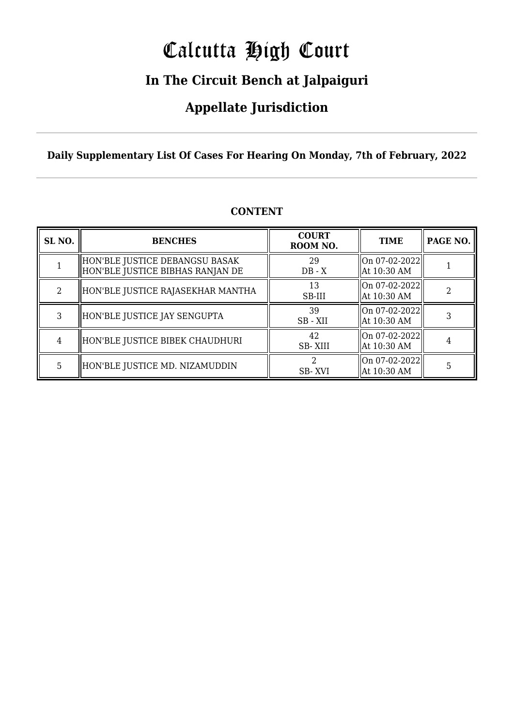# Calcutta High Court

### **In The Circuit Bench at Jalpaiguri**

### **Appellate Jurisdiction**

**Daily Supplementary List Of Cases For Hearing On Monday, 7th of February, 2022**

| SL <sub>NO.</sub> | <b>BENCHES</b>                                                        | <b>COURT</b><br>ROOM NO. | <b>TIME</b>                                    | PAGE NO. |
|-------------------|-----------------------------------------------------------------------|--------------------------|------------------------------------------------|----------|
|                   | HON'BLE JUSTICE DEBANGSU BASAK <br>  HON'BLE JUSTICE BIBHAS RANJAN DE | 29<br>$DB - X$           | $\vert$ On 07-02-2022 $\vert$<br>  At 10:30 AM |          |
| $\mathcal{L}$     | HON'BLE JUSTICE RAJASEKHAR MANTHA                                     | 13<br>SB-III             | $\vert$ On 07-02-2022 $\vert$<br>  At 10:30 AM |          |
| 3                 | HON'BLE JUSTICE JAY SENGUPTA                                          | 39<br>SB - XII           | On 07-02-2022<br>  At 10:30 AM                 |          |
| 4                 | HON'BLE JUSTICE BIBEK CHAUDHURI                                       | 42<br><b>SB-XIII</b>     | $\vert$ On 07-02-2022 $\vert$<br>  At 10:30 AM |          |
| 5                 | HON'BLE JUSTICE MD. NIZAMUDDIN                                        | SB-XVI                   | On 07-02-2022  <br>  At 10:30 AM               | 5        |

### **CONTENT**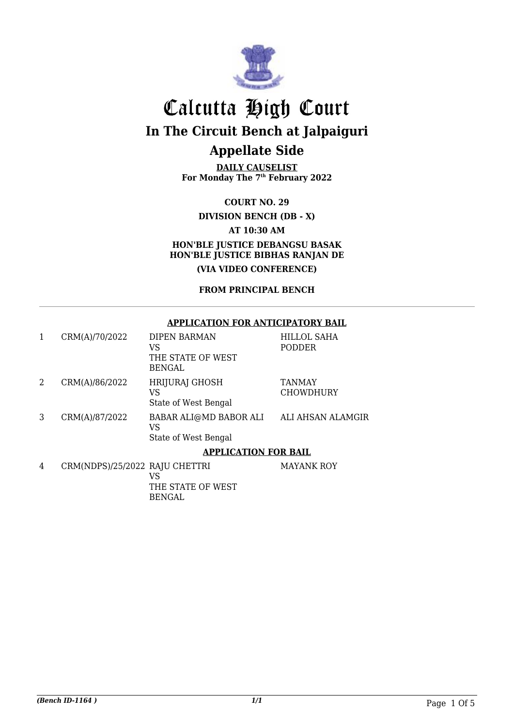

**DAILY CAUSELIST For Monday The 7th February 2022**

**COURT NO. 29 DIVISION BENCH (DB - X) AT 10:30 AM HON'BLE JUSTICE DEBANGSU BASAK HON'BLE JUSTICE BIBHAS RANJAN DE (VIA VIDEO CONFERENCE)**

**FROM PRINCIPAL BENCH**

#### **APPLICATION FOR ANTICIPATORY BAIL**

| 1 | CRM(A)/70/2022                 | DIPEN BARMAN           | HILLOL SAHA       |  |  |
|---|--------------------------------|------------------------|-------------------|--|--|
|   |                                | VS                     | <b>PODDER</b>     |  |  |
|   |                                | THE STATE OF WEST      |                   |  |  |
|   |                                | <b>BENGAL</b>          |                   |  |  |
| 2 | CRM(A)/86/2022                 | <b>HRIJURAJ GHOSH</b>  | <b>TANMAY</b>     |  |  |
|   |                                | VS                     | <b>CHOWDHURY</b>  |  |  |
|   |                                | State of West Bengal   |                   |  |  |
| 3 | CRM(A)/87/2022                 | BABAR ALI@MD BABOR ALI | ALI AHSAN ALAMGIR |  |  |
|   |                                | <b>VS</b>              |                   |  |  |
|   |                                | State of West Bengal   |                   |  |  |
|   | <b>APPLICATION FOR BAIL</b>    |                        |                   |  |  |
| 4 | CRM(NDPS)/25/2022 RAJU CHETTRI |                        | <b>MAYANK ROY</b> |  |  |
|   |                                | VS                     |                   |  |  |
|   |                                | THE STATE OF WEST      |                   |  |  |

BENGAL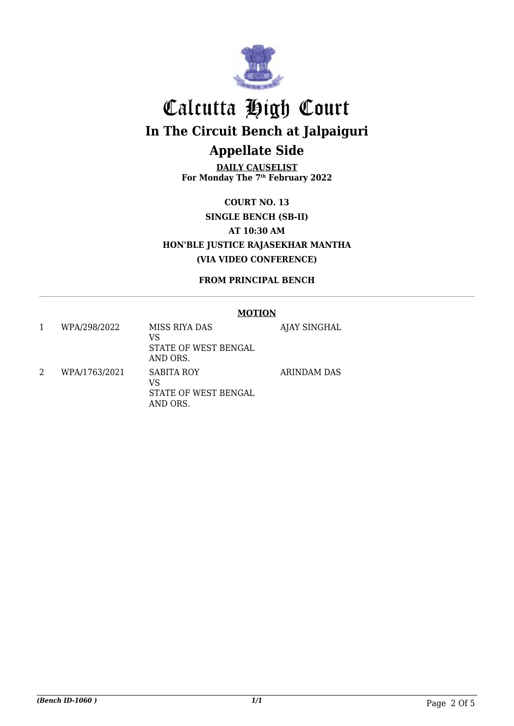

**DAILY CAUSELIST For Monday The 7th February 2022**

**COURT NO. 13 SINGLE BENCH (SB-II) AT 10:30 AM HON'BLE JUSTICE RAJASEKHAR MANTHA (VIA VIDEO CONFERENCE)**

**FROM PRINCIPAL BENCH**

#### **MOTION** 1 WPA/298/2022 MISS RIYA DAS VS STATE OF WEST BENGAL AND ORS. AJAY SINGHAL 2 WPA/1763/2021 SABITA ROY VS STATE OF WEST BENGAL AND ORS. ARINDAM DAS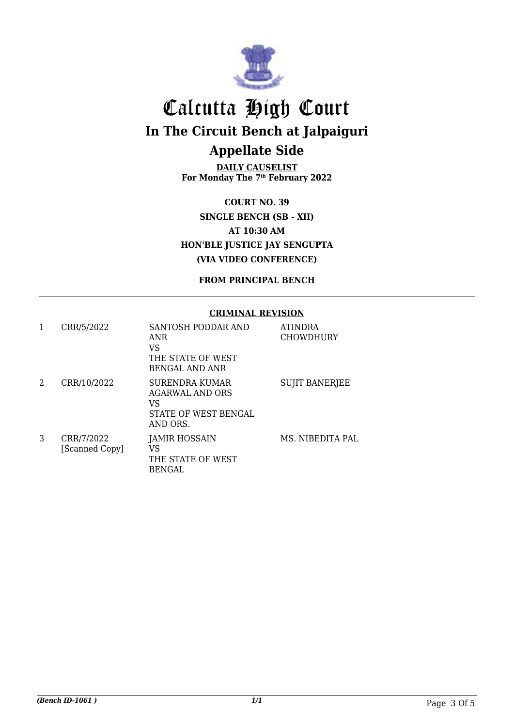

**DAILY CAUSELIST For Monday The 7th February 2022**

**COURT NO. 39 SINGLE BENCH (SB - XII) AT 10:30 AM HON'BLE JUSTICE JAY SENGUPTA (VIA VIDEO CONFERENCE)**

**FROM PRINCIPAL BENCH**

#### **CRIMINAL REVISION**

| 1 | CRR/5/2022                   | SANTOSH PODDAR AND<br>ANR<br>VS<br>THE STATE OF WEST<br><b>BENGAL AND ANR</b>      | <b>ATINDRA</b><br><b>CHOWDHURY</b> |
|---|------------------------------|------------------------------------------------------------------------------------|------------------------------------|
| 2 | CRR/10/2022                  | SURENDRA KUMAR<br><b>AGARWAL AND ORS</b><br>VS<br>STATE OF WEST BENGAL<br>AND ORS. | <b>SUJIT BANERJEE</b>              |
| 3 | CRR/7/2022<br>[Scanned Copy] | <b>JAMIR HOSSAIN</b><br>VS<br>THE STATE OF WEST<br>BENGAL                          | MS. NIBEDITA PAL                   |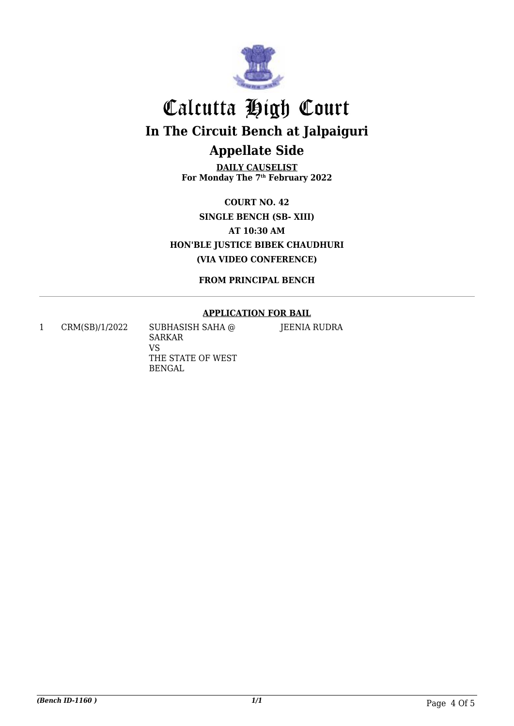

**DAILY CAUSELIST For Monday The 7th February 2022**

**COURT NO. 42 SINGLE BENCH (SB- XIII) AT 10:30 AM HON'BLE JUSTICE BIBEK CHAUDHURI (VIA VIDEO CONFERENCE)**

**FROM PRINCIPAL BENCH**

### **APPLICATION FOR BAIL**

1 CRM(SB)/1/2022 SUBHASISH SAHA @

SARKAR VS THE STATE OF WEST BENGAL

JEENIA RUDRA